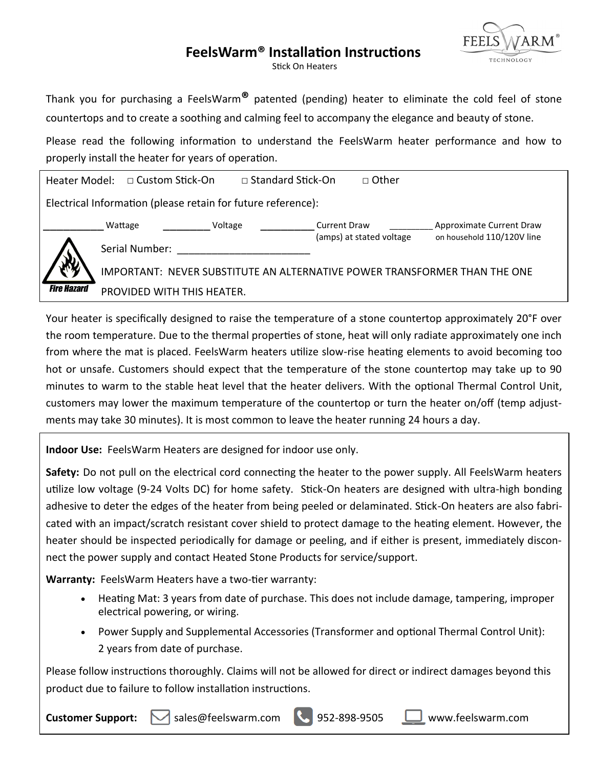# **FeelsWarm® Installation Instructions**



Stick On Heaters

Thank you for purchasing a FeelsWarm**®** patented (pending) heater to eliminate the cold feel of stone countertops and to create a soothing and calming feel to accompany the elegance and beauty of stone.

Please read the following information to understand the FeelsWarm heater performance and how to properly install the heater for years of operation.

| Heater Model:                                                | □ Custom Stick-On                                                         | $\Box$ Standard Stick-On |                     | □ Other                  |                            |
|--------------------------------------------------------------|---------------------------------------------------------------------------|--------------------------|---------------------|--------------------------|----------------------------|
| Electrical Information (please retain for future reference): |                                                                           |                          |                     |                          |                            |
|                                                              | Wattage                                                                   | Voltage                  | <b>Current Draw</b> |                          | Approximate Current Draw   |
|                                                              | Serial Number:                                                            |                          |                     | (amps) at stated voltage | on household 110/120V line |
|                                                              | IMPORTANT: NEVER SUBSTITUTE AN ALTERNATIVE POWER TRANSFORMER THAN THE ONE |                          |                     |                          |                            |
| <b>Fire Hazard</b>                                           | PROVIDED WITH THIS HEATER.                                                |                          |                     |                          |                            |

Your heater is specifically designed to raise the temperature of a stone countertop approximately 20°F over the room temperature. Due to the thermal properties of stone, heat will only radiate approximately one inch from where the mat is placed. FeelsWarm heaters utilize slow-rise heating elements to avoid becoming too hot or unsafe. Customers should expect that the temperature of the stone countertop may take up to 90 minutes to warm to the stable heat level that the heater delivers. With the optional Thermal Control Unit, customers may lower the maximum temperature of the countertop or turn the heater on/off (temp adjustments may take 30 minutes). It is most common to leave the heater running 24 hours a day.

**Indoor Use:** FeelsWarm Heaters are designed for indoor use only.

**Safety:** Do not pull on the electrical cord connecting the heater to the power supply. All FeelsWarm heaters utilize low voltage (9-24 Volts DC) for home safety. Stick-On heaters are designed with ultra-high bonding adhesive to deter the edges of the heater from being peeled or delaminated. Stick-On heaters are also fabricated with an impact/scratch resistant cover shield to protect damage to the heating element. However, the heater should be inspected periodically for damage or peeling, and if either is present, immediately disconnect the power supply and contact Heated Stone Products for service/support.

**Warranty:** FeelsWarm Heaters have a two-tier warranty:

- Heating Mat: 3 years from date of purchase. This does not include damage, tampering, improper electrical powering, or wiring.
- Power Supply and Supplemental Accessories (Transformer and optional Thermal Control Unit): 2 years from date of purchase.

Please follow instructions thoroughly. Claims will not be allowed for direct or indirect damages beyond this product due to failure to follow installation instructions.

**Customer Support:** M sales@feelswarm.com 352-898-9505 Uwww.feelswarm.com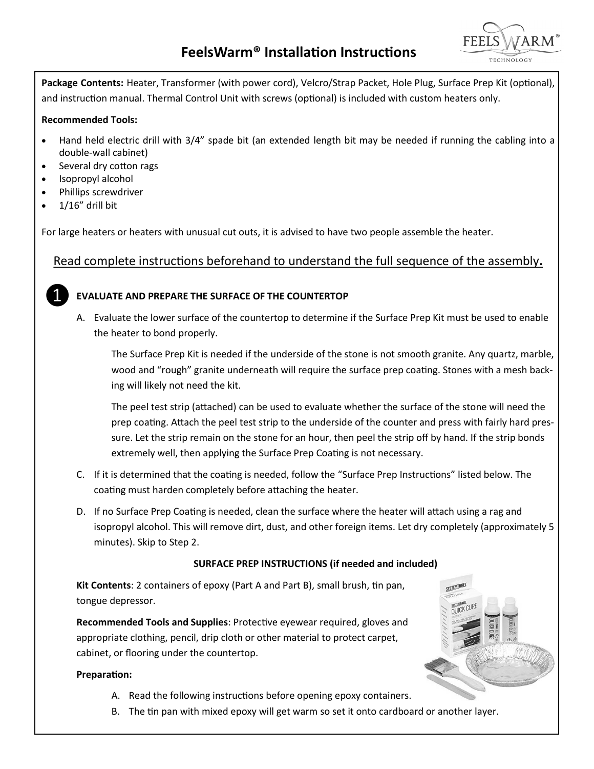

**Package Contents:** Heater, Transformer (with power cord), Velcro/Strap Packet, Hole Plug, Surface Prep Kit (optional), and instruction manual. Thermal Control Unit with screws (optional) is included with custom heaters only.

#### **Recommended Tools:**

- Hand held electric drill with 3/4" spade bit (an extended length bit may be needed if running the cabling into a double-wall cabinet)
- Several dry cotton rags
- Isopropyl alcohol
- Phillips screwdriver
- $1/16$ " drill bit

For large heaters or heaters with unusual cut outs, it is advised to have two people assemble the heater.

## Read complete instructions beforehand to understand the full sequence of the assembly**.**



### **EVALUATE AND PREPARE THE SURFACE OF THE COUNTERTOP**

A. Evaluate the lower surface of the countertop to determine if the Surface Prep Kit must be used to enable the heater to bond properly.

The Surface Prep Kit is needed if the underside of the stone is not smooth granite. Any quartz, marble, wood and "rough" granite underneath will require the surface prep coating. Stones with a mesh backing will likely not need the kit.

The peel test strip (attached) can be used to evaluate whether the surface of the stone will need the prep coating. Attach the peel test strip to the underside of the counter and press with fairly hard pressure. Let the strip remain on the stone for an hour, then peel the strip off by hand. If the strip bonds extremely well, then applying the Surface Prep Coating is not necessary.

- C. If it is determined that the coating is needed, follow the "Surface Prep Instructions" listed below. The coating must harden completely before attaching the heater.
- D. If no Surface Prep Coating is needed, clean the surface where the heater will attach using a rag and isopropyl alcohol. This will remove dirt, dust, and other foreign items. Let dry completely (approximately 5 minutes). Skip to Step 2.

### **SURFACE PREP INSTRUCTIONS (if needed and included)**

SYSTEMTH

**Kit Contents**: 2 containers of epoxy (Part A and Part B), small brush, tin pan, tongue depressor.

**Recommended Tools and Supplies**: Protective eyewear required, gloves and appropriate clothing, pencil, drip cloth or other material to protect carpet, cabinet, or flooring under the countertop.

#### **Preparation:**

- A. Read the following instructions before opening epoxy containers.
- B. The tin pan with mixed epoxy will get warm so set it onto cardboard or another layer.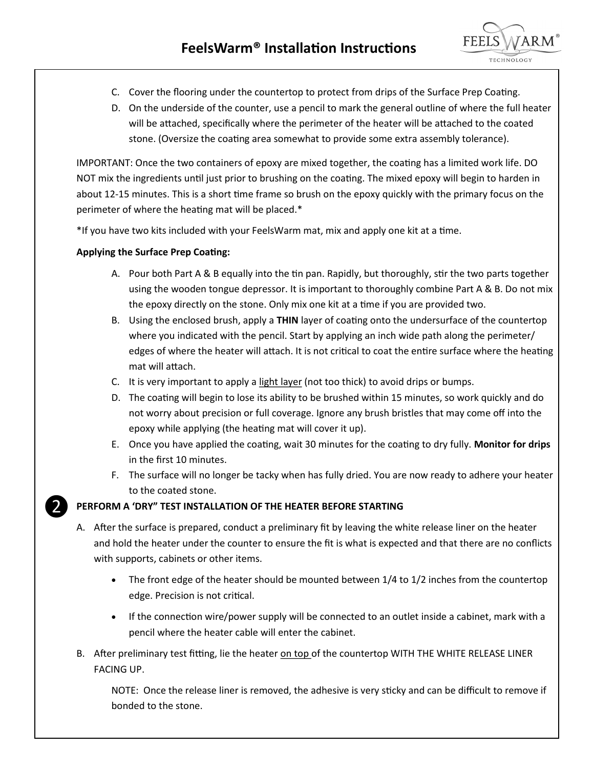

- C. Cover the flooring under the countertop to protect from drips of the Surface Prep Coating.
- D. On the underside of the counter, use a pencil to mark the general outline of where the full heater will be attached, specifically where the perimeter of the heater will be attached to the coated stone. (Oversize the coating area somewhat to provide some extra assembly tolerance).

IMPORTANT: Once the two containers of epoxy are mixed together, the coating has a limited work life. DO NOT mix the ingredients until just prior to brushing on the coating. The mixed epoxy will begin to harden in about 12-15 minutes. This is a short time frame so brush on the epoxy quickly with the primary focus on the perimeter of where the heating mat will be placed.\*

\*If you have two kits included with your FeelsWarm mat, mix and apply one kit at a time.

## **Applying the Surface Prep Coating:**

❷

- A. Pour both Part A & B equally into the tin pan. Rapidly, but thoroughly, stir the two parts together using the wooden tongue depressor. It is important to thoroughly combine Part A & B. Do not mix the epoxy directly on the stone. Only mix one kit at a time if you are provided two.
- B. Using the enclosed brush, apply a **THIN** layer of coating onto the undersurface of the countertop where you indicated with the pencil. Start by applying an inch wide path along the perimeter/ edges of where the heater will attach. It is not critical to coat the entire surface where the heating mat will attach.
- C. It is very important to apply a light layer (not too thick) to avoid drips or bumps.
- D. The coating will begin to lose its ability to be brushed within 15 minutes, so work quickly and do not worry about precision or full coverage. Ignore any brush bristles that may come off into the epoxy while applying (the heating mat will cover it up).
- E. Once you have applied the coating, wait 30 minutes for the coating to dry fully. **Monitor for drips**  in the first 10 minutes.
- F. The surface will no longer be tacky when has fully dried. You are now ready to adhere your heater to the coated stone.

# **PERFORM A 'DRY" TEST INSTALLATION OF THE HEATER BEFORE STARTING**

- A. After the surface is prepared, conduct a preliminary fit by leaving the white release liner on the heater and hold the heater under the counter to ensure the fit is what is expected and that there are no conflicts with supports, cabinets or other items.
	- The front edge of the heater should be mounted between 1/4 to 1/2 inches from the countertop edge. Precision is not critical.
	- If the connection wire/power supply will be connected to an outlet inside a cabinet, mark with a pencil where the heater cable will enter the cabinet.
- B. After preliminary test fitting, lie the heater on top of the countertop WITH THE WHITE RELEASE LINER FACING UP.

NOTE: Once the release liner is removed, the adhesive is very sticky and can be difficult to remove if bonded to the stone.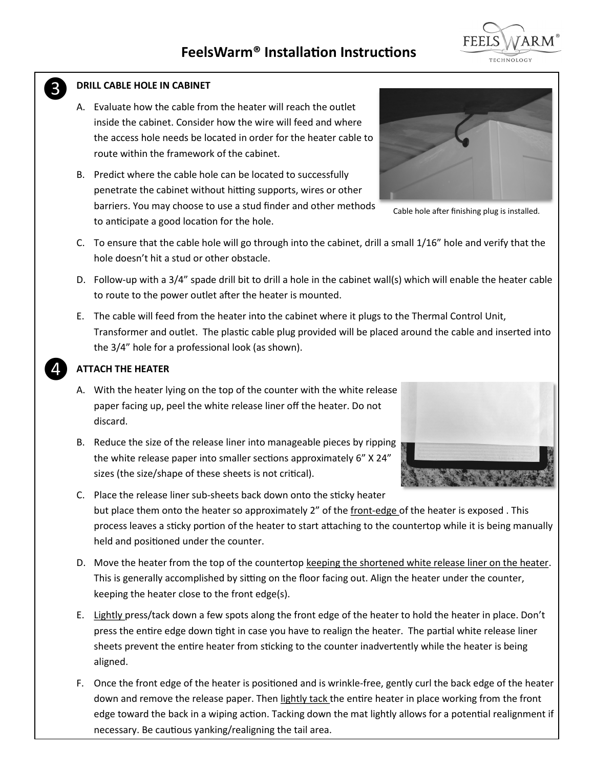#### **DRILL CABLE HOLE IN CABINET**

❸

❹

- A. Evaluate how the cable from the heater will reach the outlet inside the cabinet. Consider how the wire will feed and where the access hole needs be located in order for the heater cable to route within the framework of the cabinet.
- B. Predict where the cable hole can be located to successfully penetrate the cabinet without hitting supports, wires or other barriers. You may choose to use a stud finder and other methods to anticipate a good location for the hole.
- C. To ensure that the cable hole will go through into the cabinet, drill a small 1/16" hole and verify that the hole doesn't hit a stud or other obstacle.
- D. Follow-up with a 3/4" spade drill bit to drill a hole in the cabinet wall(s) which will enable the heater cable to route to the power outlet after the heater is mounted.
- E. The cable will feed from the heater into the cabinet where it plugs to the Thermal Control Unit, Transformer and outlet. The plastic cable plug provided will be placed around the cable and inserted into the 3/4" hole for a professional look (as shown).

### **ATTACH THE HEATER**

- A. With the heater lying on the top of the counter with the white release paper facing up, peel the white release liner off the heater. Do not discard.
- B. Reduce the size of the release liner into manageable pieces by ripping the white release paper into smaller sections approximately 6" X 24" sizes (the size/shape of these sheets is not critical).
- C. Place the release liner sub-sheets back down onto the sticky heater but place them onto the heater so approximately 2" of the front-edge of the heater is exposed. This process leaves a sticky portion of the heater to start attaching to the countertop while it is being manually held and positioned under the counter.
- D. Move the heater from the top of the countertop keeping the shortened white release liner on the heater. This is generally accomplished by sitting on the floor facing out. Align the heater under the counter, keeping the heater close to the front edge(s).
- E. Lightly press/tack down a few spots along the front edge of the heater to hold the heater in place. Don't press the entire edge down tight in case you have to realign the heater. The partial white release liner sheets prevent the entire heater from sticking to the counter inadvertently while the heater is being aligned.
- F. Once the front edge of the heater is positioned and is wrinkle-free, gently curl the back edge of the heater down and remove the release paper. Then lightly tack the entire heater in place working from the front edge toward the back in a wiping action. Tacking down the mat lightly allows for a potential realignment if necessary. Be cautious yanking/realigning the tail area.

Cable hole after finishing plug is installed.





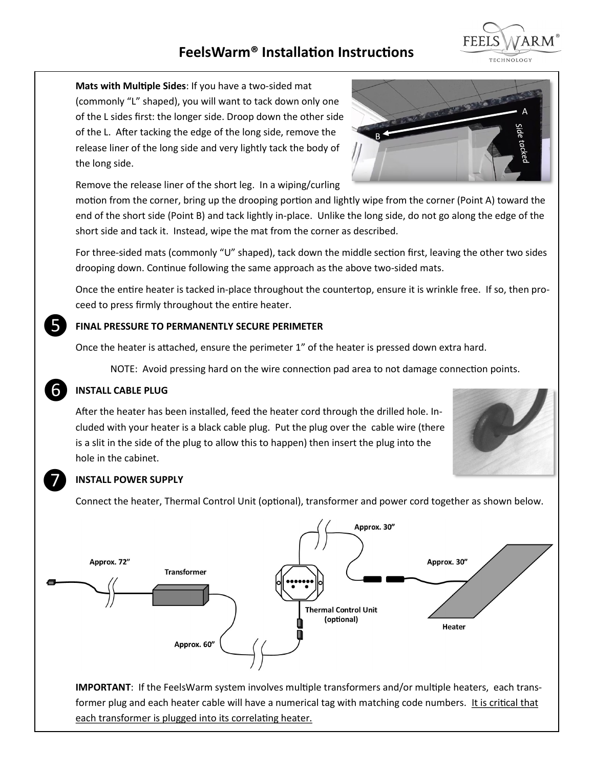# **FeelsWarm® Installation Instructions**



**Mats with Multiple Sides**: If you have a two-sided mat (commonly "L" shaped), you will want to tack down only one of the L sides first: the longer side. Droop down the other side of the L. After tacking the edge of the long side, remove the release liner of the long side and very lightly tack the body of the long side.

Remove the release liner of the short leg. In a wiping/curling

motion from the corner, bring up the drooping portion and lightly wipe from the corner (Point A) toward the end of the short side (Point B) and tack lightly in-place. Unlike the long side, do not go along the edge of the short side and tack it. Instead, wipe the mat from the corner as described.

For three-sided mats (commonly "U" shaped), tack down the middle section first, leaving the other two sides drooping down. Continue following the same approach as the above two-sided mats.

Once the entire heater is tacked in-place throughout the countertop, ensure it is wrinkle free. If so, then proceed to press firmly throughout the entire heater.

### **FINAL PRESSURE TO PERMANENTLY SECURE PERIMETER**

Once the heater is attached, ensure the perimeter 1" of the heater is pressed down extra hard.

NOTE: Avoid pressing hard on the wire connection pad area to not damage connection points.

### **INSTALL CABLE PLUG**

After the heater has been installed, feed the heater cord through the drilled hole. Included with your heater is a black cable plug. Put the plug over the cable wire (there is a slit in the side of the plug to allow this to happen) then insert the plug into the hole in the cabinet.



#### **INSTALL POWER SUPPLY**

Connect the heater, Thermal Control Unit (optional), transformer and power cord together as shown below.



**IMPORTANT**: If the FeelsWarm system involves multiple transformers and/or multiple heaters, each transformer plug and each heater cable will have a numerical tag with matching code numbers. It is critical that each transformer is plugged into its correlating heater.





❻

❼